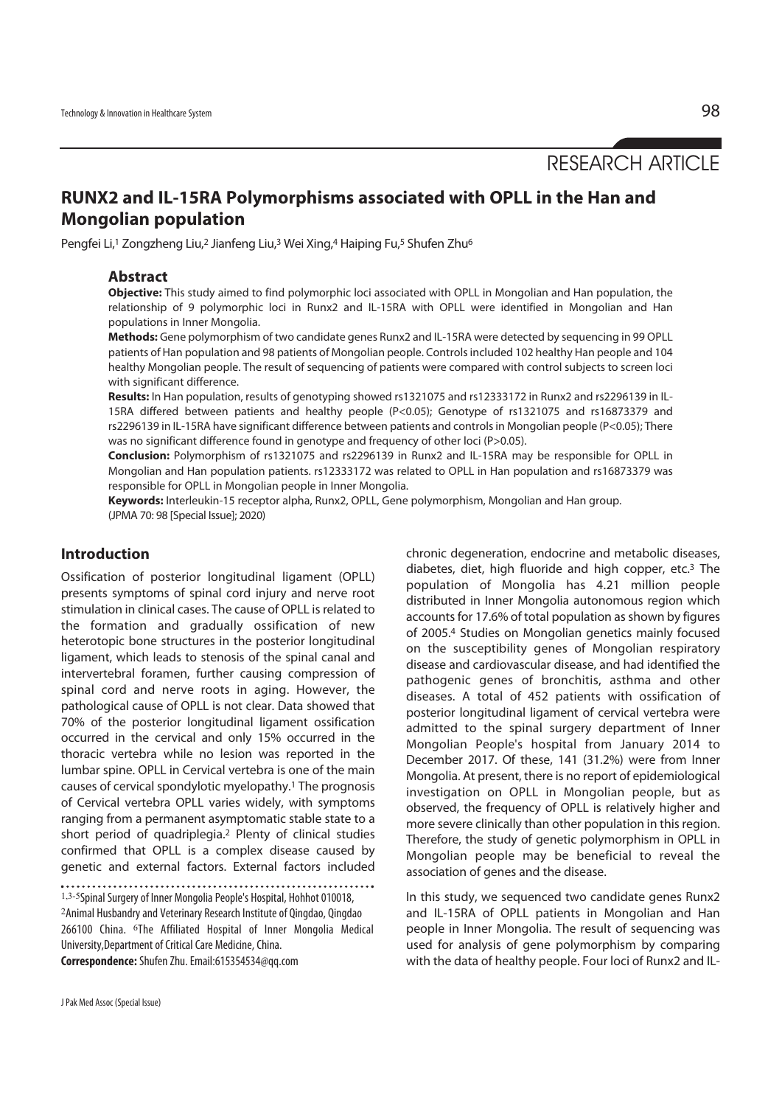RESEARCH ARTICLE

# **RUNX2 and IL-15RA Polymorphisms associated with OPLL in the Han and Mongolian population**

Pengfei Li,1 Zongzheng Liu,2 Jianfeng Liu,3 Wei Xing,4 Haiping Fu,5 Shufen Zhu6

### **Abstract**

**Objective:** This study aimed to find polymorphic loci associated with OPLL in Mongolian and Han population, the relationship of 9 polymorphic loci in Runx2 and IL-15RA with OPLL were identified in Mongolian and Han populations in Inner Mongolia.

**Methods:** Gene polymorphism of two candidate genes Runx2 and IL-15RA were detected by sequencing in 99 OPLL patients of Han population and 98 patients of Mongolian people. Controls included 102 healthy Han people and 104 healthy Mongolian people. The result of sequencing of patients were compared with control subjects to screen loci with significant difference.

**Results:** In Han population, results of genotyping showed rs1321075 and rs12333172 in Runx2 and rs2296139 in IL-15RA differed between patients and healthy people (P<0.05); Genotype of rs1321075 and rs16873379 and rs2296139 in IL-15RA have significant difference between patients and controls in Mongolian people (P<0.05); There was no significant difference found in genotype and frequency of other loci (P>0.05).

**Conclusion:** Polymorphism of rs1321075 and rs2296139 in Runx2 and IL-15RA may be responsible for OPLL in Mongolian and Han population patients. rs12333172 was related to OPLL in Han population and rs16873379 was responsible for OPLL in Mongolian people in Inner Mongolia.

**Keywords:** Interleukin-15 receptor alpha, Runx2, OPLL, Gene polymorphism, Mongolian and Han group. (JPMA 70: 98 [Special Issue]; 2020)

# **Introduction**

Ossification of posterior longitudinal ligament (OPLL) presents symptoms of spinal cord injury and nerve root stimulation in clinical cases. The cause of OPLL is related to the formation and gradually ossification of new heterotopic bone structures in the posterior longitudinal ligament, which leads to stenosis of the spinal canal and intervertebral foramen, further causing compression of spinal cord and nerve roots in aging. However, the pathological cause of OPLL is not clear. Data showed that 70% of the posterior longitudinal ligament ossification occurred in the cervical and only 15% occurred in the thoracic vertebra while no lesion was reported in the lumbar spine. OPLL in Cervical vertebra is one of the main causes of cervical spondylotic myelopathy.1 The prognosis of Cervical vertebra OPLL varies widely, with symptoms ranging from a permanent asymptomatic stable state to a short period of quadriplegia.2 Plenty of clinical studies confirmed that OPLL is a complex disease caused by genetic and external factors. External factors included

1,3-5Spinal Surgery of Inner Mongolia People's Hospital, Hohhot 010018, <sup>2</sup>Animal Husbandry and Veterinary Research Institute of Qingdao, Qingdao 266100 China. <sup>6</sup>The Affiliated Hospital of Inner Mongolia Medical University,Department of Critical Care Medicine, China.

**Correspondence:** Shufen Zhu. Email:615354534@qq.com

chronic degeneration, endocrine and metabolic diseases, diabetes, diet, high fluoride and high copper, etc.3 The population of Mongolia has 4.21 million people distributed in Inner Mongolia autonomous region which accounts for 17.6% of total population as shown by figures of 2005.4 Studies on Mongolian genetics mainly focused on the susceptibility genes of Mongolian respiratory disease and cardiovascular disease, and had identified the pathogenic genes of bronchitis, asthma and other diseases. A total of 452 patients with ossification of posterior longitudinal ligament of cervical vertebra were admitted to the spinal surgery department of Inner Mongolian People's hospital from January 2014 to December 2017. Of these, 141 (31.2%) were from Inner Mongolia. At present, there is no report of epidemiological investigation on OPLL in Mongolian people, but as observed, the frequency of OPLL is relatively higher and more severe clinically than other population in this region. Therefore, the study of genetic polymorphism in OPLL in Mongolian people may be beneficial to reveal the association of genes and the disease.

In this study, we sequenced two candidate genes Runx2 and IL-15RA of OPLL patients in Mongolian and Han people in Inner Mongolia. The result of sequencing was used for analysis of gene polymorphism by comparing with the data of healthy people. Four loci of Runx2 and IL-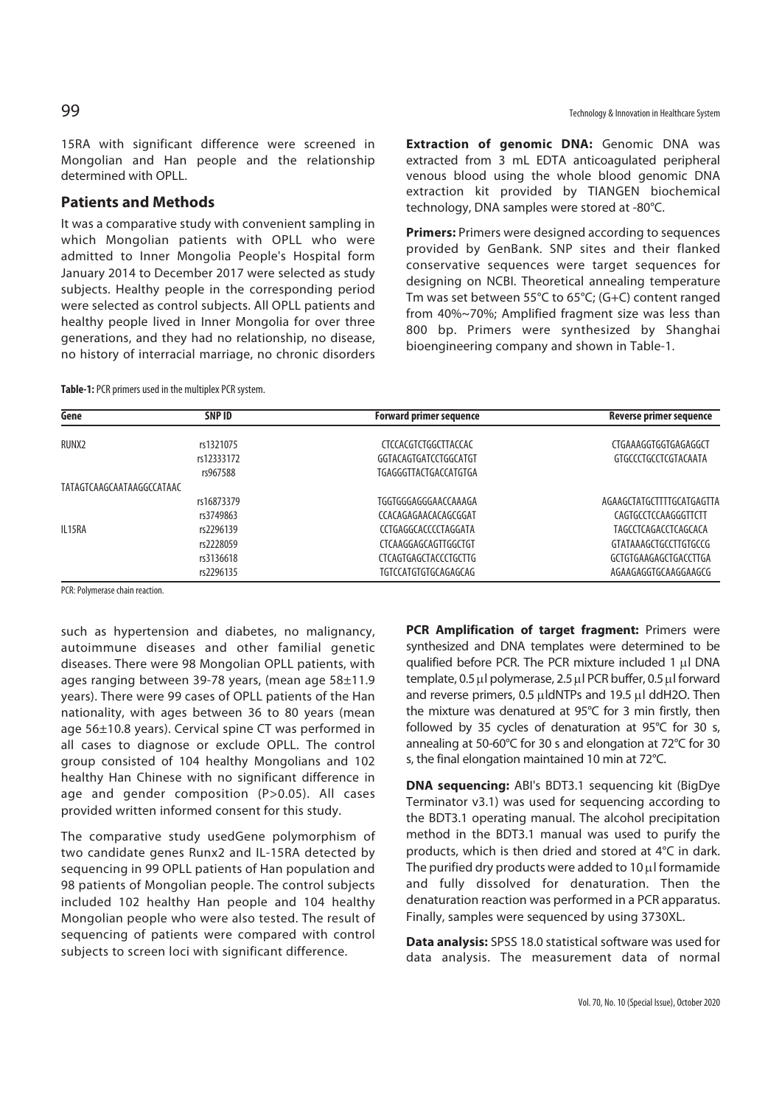15RA with significant difference were screened in Mongolian and Han people and the relationship determined with OPLL.

### **Patients and Methods**

It was a comparative study with convenient sampling in which Mongolian patients with OPLL who were admitted to Inner Mongolia People's Hospital form January 2014 to December 2017 were selected as study subjects. Healthy people in the corresponding period were selected as control subjects. All OPLL patients and healthy people lived in Inner Mongolia for over three generations, and they had no relationship, no disease, no history of interracial marriage, no chronic disorders

**Table-1:** PCR primers used in the multiplex PCR system.

**Extraction of genomic DNA:** Genomic DNA was extracted from 3 mL EDTA anticoagulated peripheral venous blood using the whole blood genomic DNA extraction kit provided by TIANGEN biochemical technology, DNA samples were stored at -80°C.

**Primers:** Primers were designed according to sequences provided by GenBank. SNP sites and their flanked conservative sequences were target sequences for designing on NCBI. Theoretical annealing temperature Tm was set between 55°C to 65°C; (G+C) content ranged from 40%~70%; Amplified fragment size was less than 800 bp. Primers were synthesized by Shanghai bioengineering company and shown in Table-1.

| Gene                      | SNP ID     | <b>Forward primer sequence</b> | <b>Reverse primer sequence</b> |
|---------------------------|------------|--------------------------------|--------------------------------|
| RUNX2                     | rs1321075  | <b>CTCCACGTCTGGCTTACCAC</b>    | CTGAAAGGTGGTGAGAGGCT           |
|                           | rs12333172 | GGTACAGTGATCCTGGCATGT          | GTGCCCTGCCTCGTACAATA           |
|                           | rs967588   | TGAGGGTTACTGACCATGTGA          |                                |
| TATAGTCAAGCAATAAGGCCATAAC |            |                                |                                |
|                           | rs16873379 | TGGTGGGAGGGAACCAAAGA           | AGAAGCTATGCTTTTGCATGAGTTA      |
|                           | rs3749863  | CCACAGAGAACACAGCGGAT           | CAGTGCCTCCAAGGGTTCTT           |
| IL15RA                    | rs2296139  | CCTGAGGCACCCCTAGGATA           | TAGCCTCAGACCTCAGCACA           |
|                           | rs2228059  | CTCAAGGAGCAGTTGGCTGT           | GTATAAAGCTGCCTTGTGCCG          |
|                           | rs3136618  | <b>CTCAGTGAGCTACCCTGCTTG</b>   | GCTGTGAAGAGCTGACCTTGA          |
|                           | rs2296135  | TGTCCATGTGTGCAGAGCAG           | AGAAGAGGTGCAAGGAAGCG           |

PCR: Polymerase chain reaction.

such as hypertension and diabetes, no malignancy, autoimmune diseases and other familial genetic diseases. There were 98 Mongolian OPLL patients, with ages ranging between 39-78 years, (mean age 58±11.9 years). There were 99 cases of OPLL patients of the Han nationality, with ages between 36 to 80 years (mean age 56±10.8 years). Cervical spine CT was performed in all cases to diagnose or exclude OPLL. The control group consisted of 104 healthy Mongolians and 102 healthy Han Chinese with no significant difference in age and gender composition (P>0.05). All cases provided written informed consent for this study.

The comparative study usedGene polymorphism of two candidate genes Runx2 and IL-15RA detected by sequencing in 99 OPLL patients of Han population and 98 patients of Mongolian people. The control subjects included 102 healthy Han people and 104 healthy Mongolian people who were also tested. The result of sequencing of patients were compared with control subjects to screen loci with significant difference.

**PCR Amplification of target fragment: Primers were** synthesized and DNA templates were determined to be qualified before PCR. The PCR mixture included 1 μl DNA template, 0.5 μl polymerase, 2.5 μl PCR buffer, 0.5 μl forward and reverse primers, 0.5  $\mu$ ldNTPs and 19.5  $\mu$ l ddH2O. Then the mixture was denatured at 95°C for 3 min firstly, then followed by 35 cycles of denaturation at 95°C for 30 s, annealing at 50-60°C for 30 s and elongation at 72°C for 30 s, the final elongation maintained 10 min at 72°C.

**DNA sequencing:** ABI's BDT3.1 sequencing kit (BigDye Terminator v3.1) was used for sequencing according to the BDT3.1 operating manual. The alcohol precipitation method in the BDT3.1 manual was used to purify the products, which is then dried and stored at 4°C in dark. The purified dry products were added to 10 μl formamide and fully dissolved for denaturation. Then the denaturation reaction was performed in a PCR apparatus. Finally, samples were sequenced by using 3730XL.

**Data analysis:** SPSS 18.0 statistical software was used for data analysis. The measurement data of normal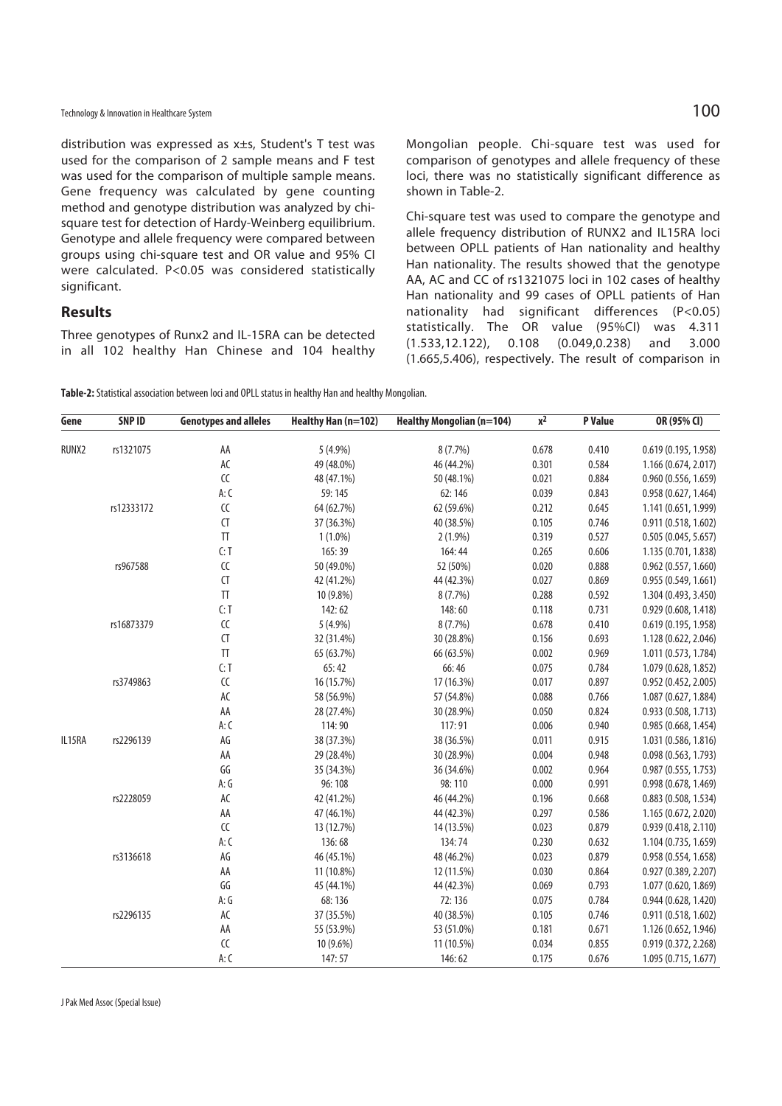distribution was expressed as x±s, Student's T test was used for the comparison of 2 sample means and F test was used for the comparison of multiple sample means. Gene frequency was calculated by gene counting method and genotype distribution was analyzed by chisquare test for detection of Hardy-Weinberg equilibrium. Genotype and allele frequency were compared between groups using chi-square test and OR value and 95% CI were calculated. P<0.05 was considered statistically significant.

### **Results**

Three genotypes of Runx2 and IL-15RA can be detected in all 102 healthy Han Chinese and 104 healthy

Mongolian people. Chi-square test was used for comparison of genotypes and allele frequency of these loci, there was no statistically significant difference as shown in Table-2.

Chi-square test was used to compare the genotype and allele frequency distribution of RUNX2 and IL15RA loci between OPLL patients of Han nationality and healthy Han nationality. The results showed that the genotype AA, AC and CC of rs1321075 loci in 102 cases of healthy Han nationality and 99 cases of OPLL patients of Han nationality had significant differences (P<0.05) statistically. The OR value (95%CI) was 4.311 (1.533,12.122), 0.108 (0.049,0.238) and 3.000 (1.665,5.406), respectively. The result of comparison in

**Table-2:** Statistical association between loci and OPLL status in healthy Han and healthy Mongolian.

| 8(7.7%)<br>RUNX2<br>rs1321075<br>AA<br>5 (4.9%)<br>0.678<br>0.410<br>0.619 (0.195, 1.958)<br>AC<br>0.584<br>49 (48.0%)<br>46 (44.2%)<br>0.301<br>1.166 (0.674, 2.017)<br>CC<br>48 (47.1%)<br>50 (48.1%)<br>0.021<br>0.884<br>0.960 (0.556, 1.659)<br>A: C<br>59:145<br>62:146<br>0.039<br>0.843<br>0.958 (0.627, 1.464)<br>${\sf CC}$<br>0.645<br>rs12333172<br>64 (62.7%)<br>62 (59.6%)<br>0.212<br>1.141 (0.651, 1.999)<br>CT<br>0.746<br>40 (38.5%)<br>0.105<br>37 (36.3%)<br>0.911(0.518, 1.602)<br>$\ensuremath{\mathsf{T}}\ensuremath{\mathsf{T}}$<br>0.527<br>$1(1.0\%)$<br>$2(1.9\%)$<br>0.319<br>0.505(0.045, 5.657)<br>C: T<br>0.606<br>165:39<br>164:44<br>0.265<br>1.135 (0.701, 1.838)<br>${\sf CC}$<br>0.888<br>rs967588<br>50 (49.0%)<br>52 (50%)<br>0.020<br>0.962(0.557, 1.660)<br>CT<br>44 (42.3%)<br>0.027<br>0.869<br>42 (41.2%)<br>0.955(0.549, 1.661)<br>$\ensuremath{\mathsf{T}}\ensuremath{\mathsf{T}}$<br>0.592<br>8(7.7%)<br>0.288<br>10 (9.8%)<br>1.304 (0.493, 3.450)<br>C: T<br>0.731<br>148:60<br>142:62<br>0.118<br>0.929(0.608, 1.418)<br>${\sf CC}$<br>0.410<br>rs16873379<br>$5(4.9\%)$<br>$8(7.7\%)$<br>0.678<br>0.619(0.195, 1.958)<br>CT<br>0.693<br>30 (28.8%)<br>0.156<br>32 (31.4%)<br>1.128 (0.622, 2.046)<br>$\ensuremath{\mathsf{T}}\ensuremath{\mathsf{T}}$<br>0.969<br>65 (63.7%)<br>0.002<br>1.011 (0.573, 1.784)<br>66 (63.5%)<br>C: T<br>0.784<br>65:42<br>66:46<br>0.075<br>1.079 (0.628, 1.852)<br>rs3749863<br>${\sf CC}$<br>0.897<br>16 (15.7%)<br>17 (16.3%)<br>0.017<br>0.952 (0.452, 2.005)<br>AC<br>0.766<br>57 (54.8%)<br>0.088<br>58 (56.9%)<br>1.087 (0.627, 1.884)<br>AA<br>0.824<br>28 (27.4%)<br>30 (28.9%)<br>0.050<br>0.933 (0.508, 1.713)<br>A: C<br>117:91<br>0.940<br>114:90<br>0.006<br>0.985 (0.668, 1.454)<br>$\mathsf{AG}$<br>rs2296139<br>0.915<br>IL15RA<br>38 (37.3%)<br>38 (36.5%)<br>0.011<br>1.031 (0.586, 1.816)<br>AA<br>0.948<br>29 (28.4%)<br>30 (28.9%)<br>0.004<br>0.098 (0.563, 1.793)<br>GG<br>0.002<br>0.964<br>35 (34.3%)<br>36 (34.6%)<br>0.987(0.555, 1.753)<br>A:G<br>96:108<br>98:110<br>0.000<br>0.991<br>0.998 (0.678, 1.469)<br>AC<br>rs2228059<br>0.668<br>42 (41.2%)<br>46 (44.2%)<br>0.196<br>0.883 (0.508, 1.534)<br>AA<br>44 (42.3%)<br>0.586<br>47 (46.1%)<br>0.297<br>1.165 (0.672, 2.020)<br>${\sf CC}$<br>14 (13.5%)<br>0.879<br>13 (12.7%)<br>0.023<br>0.939 (0.418, 2.110)<br>A: C<br>136:68<br>134:74<br>0.632<br>0.230<br>1.104 (0.735, 1.659)<br>AG<br>rs3136618<br>48 (46.2%)<br>0.023<br>0.879<br>46 (45.1%)<br>0.958 (0.554, 1.658)<br>AA<br>0.864<br>11 (10.8%)<br>12 (11.5%)<br>0.030<br>0.927 (0.389, 2.207)<br>GG<br>0.793<br>45 (44.1%)<br>44 (42.3%)<br>0.069<br>1.077 (0.620, 1.869)<br>A:G<br>68:136<br>72:136<br>0.075<br>0.784<br>0.944 (0.628, 1.420)<br>AC<br>rs2296135<br>37 (35.5%)<br>40 (38.5%)<br>0.746<br>0.105<br>0.911 (0.518, 1.602)<br>AA<br>0.671<br>55 (53.9%)<br>53 (51.0%)<br>0.181<br>1.126 (0.652, 1.946) | Gene | <b>SNP ID</b> | <b>Genotypes and alleles</b> | Healthy Han (n=102) | <b>Healthy Mongolian (n=104)</b> | $\overline{x^2}$ | <b>P</b> Value | OR (95% CI)          |
|------------------------------------------------------------------------------------------------------------------------------------------------------------------------------------------------------------------------------------------------------------------------------------------------------------------------------------------------------------------------------------------------------------------------------------------------------------------------------------------------------------------------------------------------------------------------------------------------------------------------------------------------------------------------------------------------------------------------------------------------------------------------------------------------------------------------------------------------------------------------------------------------------------------------------------------------------------------------------------------------------------------------------------------------------------------------------------------------------------------------------------------------------------------------------------------------------------------------------------------------------------------------------------------------------------------------------------------------------------------------------------------------------------------------------------------------------------------------------------------------------------------------------------------------------------------------------------------------------------------------------------------------------------------------------------------------------------------------------------------------------------------------------------------------------------------------------------------------------------------------------------------------------------------------------------------------------------------------------------------------------------------------------------------------------------------------------------------------------------------------------------------------------------------------------------------------------------------------------------------------------------------------------------------------------------------------------------------------------------------------------------------------------------------------------------------------------------------------------------------------------------------------------------------------------------------------------------------------------------------------------------------------------------------------------------------------------------------------------------------------------------------------------------------------------------------------------------------------------------------------------------------------------------------------------------------------------|------|---------------|------------------------------|---------------------|----------------------------------|------------------|----------------|----------------------|
|                                                                                                                                                                                                                                                                                                                                                                                                                                                                                                                                                                                                                                                                                                                                                                                                                                                                                                                                                                                                                                                                                                                                                                                                                                                                                                                                                                                                                                                                                                                                                                                                                                                                                                                                                                                                                                                                                                                                                                                                                                                                                                                                                                                                                                                                                                                                                                                                                                                                                                                                                                                                                                                                                                                                                                                                                                                                                                                                                      |      |               |                              |                     |                                  |                  |                |                      |
|                                                                                                                                                                                                                                                                                                                                                                                                                                                                                                                                                                                                                                                                                                                                                                                                                                                                                                                                                                                                                                                                                                                                                                                                                                                                                                                                                                                                                                                                                                                                                                                                                                                                                                                                                                                                                                                                                                                                                                                                                                                                                                                                                                                                                                                                                                                                                                                                                                                                                                                                                                                                                                                                                                                                                                                                                                                                                                                                                      |      |               |                              |                     |                                  |                  |                |                      |
|                                                                                                                                                                                                                                                                                                                                                                                                                                                                                                                                                                                                                                                                                                                                                                                                                                                                                                                                                                                                                                                                                                                                                                                                                                                                                                                                                                                                                                                                                                                                                                                                                                                                                                                                                                                                                                                                                                                                                                                                                                                                                                                                                                                                                                                                                                                                                                                                                                                                                                                                                                                                                                                                                                                                                                                                                                                                                                                                                      |      |               |                              |                     |                                  |                  |                |                      |
|                                                                                                                                                                                                                                                                                                                                                                                                                                                                                                                                                                                                                                                                                                                                                                                                                                                                                                                                                                                                                                                                                                                                                                                                                                                                                                                                                                                                                                                                                                                                                                                                                                                                                                                                                                                                                                                                                                                                                                                                                                                                                                                                                                                                                                                                                                                                                                                                                                                                                                                                                                                                                                                                                                                                                                                                                                                                                                                                                      |      |               |                              |                     |                                  |                  |                |                      |
|                                                                                                                                                                                                                                                                                                                                                                                                                                                                                                                                                                                                                                                                                                                                                                                                                                                                                                                                                                                                                                                                                                                                                                                                                                                                                                                                                                                                                                                                                                                                                                                                                                                                                                                                                                                                                                                                                                                                                                                                                                                                                                                                                                                                                                                                                                                                                                                                                                                                                                                                                                                                                                                                                                                                                                                                                                                                                                                                                      |      |               |                              |                     |                                  |                  |                |                      |
|                                                                                                                                                                                                                                                                                                                                                                                                                                                                                                                                                                                                                                                                                                                                                                                                                                                                                                                                                                                                                                                                                                                                                                                                                                                                                                                                                                                                                                                                                                                                                                                                                                                                                                                                                                                                                                                                                                                                                                                                                                                                                                                                                                                                                                                                                                                                                                                                                                                                                                                                                                                                                                                                                                                                                                                                                                                                                                                                                      |      |               |                              |                     |                                  |                  |                |                      |
|                                                                                                                                                                                                                                                                                                                                                                                                                                                                                                                                                                                                                                                                                                                                                                                                                                                                                                                                                                                                                                                                                                                                                                                                                                                                                                                                                                                                                                                                                                                                                                                                                                                                                                                                                                                                                                                                                                                                                                                                                                                                                                                                                                                                                                                                                                                                                                                                                                                                                                                                                                                                                                                                                                                                                                                                                                                                                                                                                      |      |               |                              |                     |                                  |                  |                |                      |
|                                                                                                                                                                                                                                                                                                                                                                                                                                                                                                                                                                                                                                                                                                                                                                                                                                                                                                                                                                                                                                                                                                                                                                                                                                                                                                                                                                                                                                                                                                                                                                                                                                                                                                                                                                                                                                                                                                                                                                                                                                                                                                                                                                                                                                                                                                                                                                                                                                                                                                                                                                                                                                                                                                                                                                                                                                                                                                                                                      |      |               |                              |                     |                                  |                  |                |                      |
|                                                                                                                                                                                                                                                                                                                                                                                                                                                                                                                                                                                                                                                                                                                                                                                                                                                                                                                                                                                                                                                                                                                                                                                                                                                                                                                                                                                                                                                                                                                                                                                                                                                                                                                                                                                                                                                                                                                                                                                                                                                                                                                                                                                                                                                                                                                                                                                                                                                                                                                                                                                                                                                                                                                                                                                                                                                                                                                                                      |      |               |                              |                     |                                  |                  |                |                      |
|                                                                                                                                                                                                                                                                                                                                                                                                                                                                                                                                                                                                                                                                                                                                                                                                                                                                                                                                                                                                                                                                                                                                                                                                                                                                                                                                                                                                                                                                                                                                                                                                                                                                                                                                                                                                                                                                                                                                                                                                                                                                                                                                                                                                                                                                                                                                                                                                                                                                                                                                                                                                                                                                                                                                                                                                                                                                                                                                                      |      |               |                              |                     |                                  |                  |                |                      |
|                                                                                                                                                                                                                                                                                                                                                                                                                                                                                                                                                                                                                                                                                                                                                                                                                                                                                                                                                                                                                                                                                                                                                                                                                                                                                                                                                                                                                                                                                                                                                                                                                                                                                                                                                                                                                                                                                                                                                                                                                                                                                                                                                                                                                                                                                                                                                                                                                                                                                                                                                                                                                                                                                                                                                                                                                                                                                                                                                      |      |               |                              |                     |                                  |                  |                |                      |
|                                                                                                                                                                                                                                                                                                                                                                                                                                                                                                                                                                                                                                                                                                                                                                                                                                                                                                                                                                                                                                                                                                                                                                                                                                                                                                                                                                                                                                                                                                                                                                                                                                                                                                                                                                                                                                                                                                                                                                                                                                                                                                                                                                                                                                                                                                                                                                                                                                                                                                                                                                                                                                                                                                                                                                                                                                                                                                                                                      |      |               |                              |                     |                                  |                  |                |                      |
|                                                                                                                                                                                                                                                                                                                                                                                                                                                                                                                                                                                                                                                                                                                                                                                                                                                                                                                                                                                                                                                                                                                                                                                                                                                                                                                                                                                                                                                                                                                                                                                                                                                                                                                                                                                                                                                                                                                                                                                                                                                                                                                                                                                                                                                                                                                                                                                                                                                                                                                                                                                                                                                                                                                                                                                                                                                                                                                                                      |      |               |                              |                     |                                  |                  |                |                      |
|                                                                                                                                                                                                                                                                                                                                                                                                                                                                                                                                                                                                                                                                                                                                                                                                                                                                                                                                                                                                                                                                                                                                                                                                                                                                                                                                                                                                                                                                                                                                                                                                                                                                                                                                                                                                                                                                                                                                                                                                                                                                                                                                                                                                                                                                                                                                                                                                                                                                                                                                                                                                                                                                                                                                                                                                                                                                                                                                                      |      |               |                              |                     |                                  |                  |                |                      |
|                                                                                                                                                                                                                                                                                                                                                                                                                                                                                                                                                                                                                                                                                                                                                                                                                                                                                                                                                                                                                                                                                                                                                                                                                                                                                                                                                                                                                                                                                                                                                                                                                                                                                                                                                                                                                                                                                                                                                                                                                                                                                                                                                                                                                                                                                                                                                                                                                                                                                                                                                                                                                                                                                                                                                                                                                                                                                                                                                      |      |               |                              |                     |                                  |                  |                |                      |
|                                                                                                                                                                                                                                                                                                                                                                                                                                                                                                                                                                                                                                                                                                                                                                                                                                                                                                                                                                                                                                                                                                                                                                                                                                                                                                                                                                                                                                                                                                                                                                                                                                                                                                                                                                                                                                                                                                                                                                                                                                                                                                                                                                                                                                                                                                                                                                                                                                                                                                                                                                                                                                                                                                                                                                                                                                                                                                                                                      |      |               |                              |                     |                                  |                  |                |                      |
|                                                                                                                                                                                                                                                                                                                                                                                                                                                                                                                                                                                                                                                                                                                                                                                                                                                                                                                                                                                                                                                                                                                                                                                                                                                                                                                                                                                                                                                                                                                                                                                                                                                                                                                                                                                                                                                                                                                                                                                                                                                                                                                                                                                                                                                                                                                                                                                                                                                                                                                                                                                                                                                                                                                                                                                                                                                                                                                                                      |      |               |                              |                     |                                  |                  |                |                      |
|                                                                                                                                                                                                                                                                                                                                                                                                                                                                                                                                                                                                                                                                                                                                                                                                                                                                                                                                                                                                                                                                                                                                                                                                                                                                                                                                                                                                                                                                                                                                                                                                                                                                                                                                                                                                                                                                                                                                                                                                                                                                                                                                                                                                                                                                                                                                                                                                                                                                                                                                                                                                                                                                                                                                                                                                                                                                                                                                                      |      |               |                              |                     |                                  |                  |                |                      |
|                                                                                                                                                                                                                                                                                                                                                                                                                                                                                                                                                                                                                                                                                                                                                                                                                                                                                                                                                                                                                                                                                                                                                                                                                                                                                                                                                                                                                                                                                                                                                                                                                                                                                                                                                                                                                                                                                                                                                                                                                                                                                                                                                                                                                                                                                                                                                                                                                                                                                                                                                                                                                                                                                                                                                                                                                                                                                                                                                      |      |               |                              |                     |                                  |                  |                |                      |
|                                                                                                                                                                                                                                                                                                                                                                                                                                                                                                                                                                                                                                                                                                                                                                                                                                                                                                                                                                                                                                                                                                                                                                                                                                                                                                                                                                                                                                                                                                                                                                                                                                                                                                                                                                                                                                                                                                                                                                                                                                                                                                                                                                                                                                                                                                                                                                                                                                                                                                                                                                                                                                                                                                                                                                                                                                                                                                                                                      |      |               |                              |                     |                                  |                  |                |                      |
|                                                                                                                                                                                                                                                                                                                                                                                                                                                                                                                                                                                                                                                                                                                                                                                                                                                                                                                                                                                                                                                                                                                                                                                                                                                                                                                                                                                                                                                                                                                                                                                                                                                                                                                                                                                                                                                                                                                                                                                                                                                                                                                                                                                                                                                                                                                                                                                                                                                                                                                                                                                                                                                                                                                                                                                                                                                                                                                                                      |      |               |                              |                     |                                  |                  |                |                      |
|                                                                                                                                                                                                                                                                                                                                                                                                                                                                                                                                                                                                                                                                                                                                                                                                                                                                                                                                                                                                                                                                                                                                                                                                                                                                                                                                                                                                                                                                                                                                                                                                                                                                                                                                                                                                                                                                                                                                                                                                                                                                                                                                                                                                                                                                                                                                                                                                                                                                                                                                                                                                                                                                                                                                                                                                                                                                                                                                                      |      |               |                              |                     |                                  |                  |                |                      |
|                                                                                                                                                                                                                                                                                                                                                                                                                                                                                                                                                                                                                                                                                                                                                                                                                                                                                                                                                                                                                                                                                                                                                                                                                                                                                                                                                                                                                                                                                                                                                                                                                                                                                                                                                                                                                                                                                                                                                                                                                                                                                                                                                                                                                                                                                                                                                                                                                                                                                                                                                                                                                                                                                                                                                                                                                                                                                                                                                      |      |               |                              |                     |                                  |                  |                |                      |
|                                                                                                                                                                                                                                                                                                                                                                                                                                                                                                                                                                                                                                                                                                                                                                                                                                                                                                                                                                                                                                                                                                                                                                                                                                                                                                                                                                                                                                                                                                                                                                                                                                                                                                                                                                                                                                                                                                                                                                                                                                                                                                                                                                                                                                                                                                                                                                                                                                                                                                                                                                                                                                                                                                                                                                                                                                                                                                                                                      |      |               |                              |                     |                                  |                  |                |                      |
|                                                                                                                                                                                                                                                                                                                                                                                                                                                                                                                                                                                                                                                                                                                                                                                                                                                                                                                                                                                                                                                                                                                                                                                                                                                                                                                                                                                                                                                                                                                                                                                                                                                                                                                                                                                                                                                                                                                                                                                                                                                                                                                                                                                                                                                                                                                                                                                                                                                                                                                                                                                                                                                                                                                                                                                                                                                                                                                                                      |      |               |                              |                     |                                  |                  |                |                      |
|                                                                                                                                                                                                                                                                                                                                                                                                                                                                                                                                                                                                                                                                                                                                                                                                                                                                                                                                                                                                                                                                                                                                                                                                                                                                                                                                                                                                                                                                                                                                                                                                                                                                                                                                                                                                                                                                                                                                                                                                                                                                                                                                                                                                                                                                                                                                                                                                                                                                                                                                                                                                                                                                                                                                                                                                                                                                                                                                                      |      |               |                              |                     |                                  |                  |                |                      |
|                                                                                                                                                                                                                                                                                                                                                                                                                                                                                                                                                                                                                                                                                                                                                                                                                                                                                                                                                                                                                                                                                                                                                                                                                                                                                                                                                                                                                                                                                                                                                                                                                                                                                                                                                                                                                                                                                                                                                                                                                                                                                                                                                                                                                                                                                                                                                                                                                                                                                                                                                                                                                                                                                                                                                                                                                                                                                                                                                      |      |               |                              |                     |                                  |                  |                |                      |
|                                                                                                                                                                                                                                                                                                                                                                                                                                                                                                                                                                                                                                                                                                                                                                                                                                                                                                                                                                                                                                                                                                                                                                                                                                                                                                                                                                                                                                                                                                                                                                                                                                                                                                                                                                                                                                                                                                                                                                                                                                                                                                                                                                                                                                                                                                                                                                                                                                                                                                                                                                                                                                                                                                                                                                                                                                                                                                                                                      |      |               |                              |                     |                                  |                  |                |                      |
|                                                                                                                                                                                                                                                                                                                                                                                                                                                                                                                                                                                                                                                                                                                                                                                                                                                                                                                                                                                                                                                                                                                                                                                                                                                                                                                                                                                                                                                                                                                                                                                                                                                                                                                                                                                                                                                                                                                                                                                                                                                                                                                                                                                                                                                                                                                                                                                                                                                                                                                                                                                                                                                                                                                                                                                                                                                                                                                                                      |      |               |                              |                     |                                  |                  |                |                      |
|                                                                                                                                                                                                                                                                                                                                                                                                                                                                                                                                                                                                                                                                                                                                                                                                                                                                                                                                                                                                                                                                                                                                                                                                                                                                                                                                                                                                                                                                                                                                                                                                                                                                                                                                                                                                                                                                                                                                                                                                                                                                                                                                                                                                                                                                                                                                                                                                                                                                                                                                                                                                                                                                                                                                                                                                                                                                                                                                                      |      |               |                              |                     |                                  |                  |                |                      |
|                                                                                                                                                                                                                                                                                                                                                                                                                                                                                                                                                                                                                                                                                                                                                                                                                                                                                                                                                                                                                                                                                                                                                                                                                                                                                                                                                                                                                                                                                                                                                                                                                                                                                                                                                                                                                                                                                                                                                                                                                                                                                                                                                                                                                                                                                                                                                                                                                                                                                                                                                                                                                                                                                                                                                                                                                                                                                                                                                      |      |               |                              |                     |                                  |                  |                |                      |
|                                                                                                                                                                                                                                                                                                                                                                                                                                                                                                                                                                                                                                                                                                                                                                                                                                                                                                                                                                                                                                                                                                                                                                                                                                                                                                                                                                                                                                                                                                                                                                                                                                                                                                                                                                                                                                                                                                                                                                                                                                                                                                                                                                                                                                                                                                                                                                                                                                                                                                                                                                                                                                                                                                                                                                                                                                                                                                                                                      |      |               |                              |                     |                                  |                  |                |                      |
|                                                                                                                                                                                                                                                                                                                                                                                                                                                                                                                                                                                                                                                                                                                                                                                                                                                                                                                                                                                                                                                                                                                                                                                                                                                                                                                                                                                                                                                                                                                                                                                                                                                                                                                                                                                                                                                                                                                                                                                                                                                                                                                                                                                                                                                                                                                                                                                                                                                                                                                                                                                                                                                                                                                                                                                                                                                                                                                                                      |      |               |                              |                     |                                  |                  |                |                      |
|                                                                                                                                                                                                                                                                                                                                                                                                                                                                                                                                                                                                                                                                                                                                                                                                                                                                                                                                                                                                                                                                                                                                                                                                                                                                                                                                                                                                                                                                                                                                                                                                                                                                                                                                                                                                                                                                                                                                                                                                                                                                                                                                                                                                                                                                                                                                                                                                                                                                                                                                                                                                                                                                                                                                                                                                                                                                                                                                                      |      |               |                              |                     |                                  |                  |                |                      |
|                                                                                                                                                                                                                                                                                                                                                                                                                                                                                                                                                                                                                                                                                                                                                                                                                                                                                                                                                                                                                                                                                                                                                                                                                                                                                                                                                                                                                                                                                                                                                                                                                                                                                                                                                                                                                                                                                                                                                                                                                                                                                                                                                                                                                                                                                                                                                                                                                                                                                                                                                                                                                                                                                                                                                                                                                                                                                                                                                      |      |               |                              |                     |                                  |                  |                |                      |
|                                                                                                                                                                                                                                                                                                                                                                                                                                                                                                                                                                                                                                                                                                                                                                                                                                                                                                                                                                                                                                                                                                                                                                                                                                                                                                                                                                                                                                                                                                                                                                                                                                                                                                                                                                                                                                                                                                                                                                                                                                                                                                                                                                                                                                                                                                                                                                                                                                                                                                                                                                                                                                                                                                                                                                                                                                                                                                                                                      |      |               | CC                           | 10 (9.6%)           | 11 (10.5%)                       | 0.034            | 0.855          | 0.919 (0.372, 2.268) |
| A: C<br>0.676<br>147:57<br>146:62<br>0.175<br>1.095 (0.715, 1.677)                                                                                                                                                                                                                                                                                                                                                                                                                                                                                                                                                                                                                                                                                                                                                                                                                                                                                                                                                                                                                                                                                                                                                                                                                                                                                                                                                                                                                                                                                                                                                                                                                                                                                                                                                                                                                                                                                                                                                                                                                                                                                                                                                                                                                                                                                                                                                                                                                                                                                                                                                                                                                                                                                                                                                                                                                                                                                   |      |               |                              |                     |                                  |                  |                |                      |

J Pak Med Assoc (Special Issue)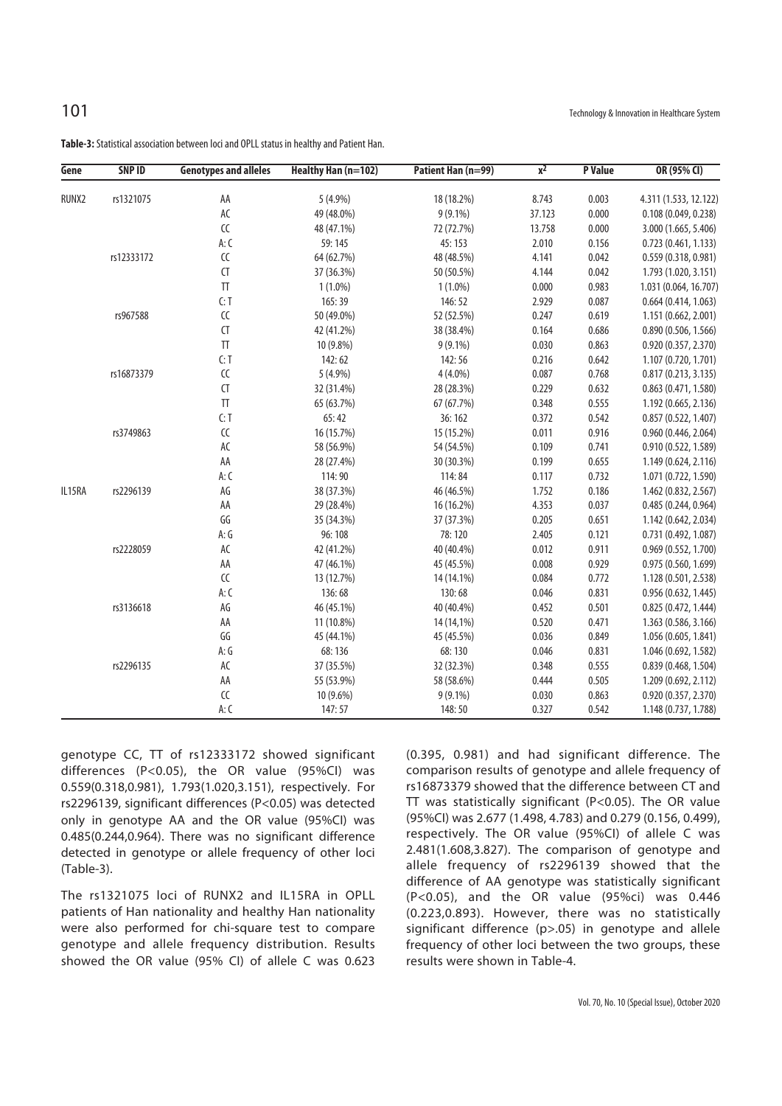| Gene   | <b>SNP ID</b> | <b>Genotypes and alleles</b>                     | Healthy Han (n=102) | Patient Han (n=99) | $x^2$  | <b>P</b> Value | OR (95% CI)           |
|--------|---------------|--------------------------------------------------|---------------------|--------------------|--------|----------------|-----------------------|
| RUNX2  | rs1321075     | AA                                               | $5(4.9\%)$          | 18 (18.2%)         | 8.743  | 0.003          | 4.311 (1.533, 12.122) |
|        |               | AC                                               | 49 (48.0%)          | $9(9.1\%)$         | 37.123 | 0.000          | 0.108(0.049, 0.238)   |
|        |               | ${\sf CC}$                                       | 48 (47.1%)          | 72 (72.7%)         | 13.758 | 0.000          | 3.000 (1.665, 5.406)  |
|        |               | A: C                                             | 59:145              | 45:153             | 2.010  | 0.156          | 0.723(0.461, 1.133)   |
|        | rs12333172    | ${\sf CC}$                                       | 64 (62.7%)          | 48 (48.5%)         | 4.141  | 0.042          | 0.559(0.318, 0.981)   |
|        |               | CT                                               | 37 (36.3%)          | 50 (50.5%)         | 4.144  | 0.042          | 1.793 (1.020, 3.151)  |
|        |               | $\Pi$                                            | $1(1.0\%)$          | $1(1.0\%)$         | 0.000  | 0.983          | 1.031 (0.064, 16.707) |
|        |               | C: T                                             | 165:39              | 146:52             | 2.929  | 0.087          | 0.664(0.414, 1.063)   |
|        | rs967588      | ${\sf CC}$                                       | 50 (49.0%)          | 52 (52.5%)         | 0.247  | 0.619          | 1.151 (0.662, 2.001)  |
|        |               | CT                                               | 42 (41.2%)          | 38 (38.4%)         | 0.164  | 0.686          | 0.890(0.506, 1.566)   |
|        |               | $\ensuremath{\mathsf{T}}\ensuremath{\mathsf{T}}$ | 10 (9.8%)           | $9(9.1\%)$         | 0.030  | 0.863          | 0.920(0.357, 2.370)   |
|        |               | C: T                                             | 142:62              | 142:56             | 0.216  | 0.642          | 1.107 (0.720, 1.701)  |
|        | rs16873379    | ${\sf CC}$                                       | 5 (4.9%)            | $4(4.0\%)$         | 0.087  | 0.768          | 0.817(0.213, 3.135)   |
|        |               | CT                                               | 32 (31.4%)          | 28 (28.3%)         | 0.229  | 0.632          | 0.863(0.471, 1.580)   |
|        |               | $\ensuremath{\mathsf{T}}\ensuremath{\mathsf{T}}$ | 65 (63.7%)          | 67 (67.7%)         | 0.348  | 0.555          | 1.192 (0.665, 2.136)  |
|        |               | C: T                                             | 65:42               | 36:162             | 0.372  | 0.542          | 0.857(0.522, 1.407)   |
|        | rs3749863     | ${\sf CC}$                                       | 16 (15.7%)          | 15 (15.2%)         | 0.011  | 0.916          | 0.960(0.446, 2.064)   |
|        |               | AC                                               | 58 (56.9%)          | 54 (54.5%)         | 0.109  | 0.741          | 0.910 (0.522, 1.589)  |
|        |               | AA                                               | 28 (27.4%)          | 30 (30.3%)         | 0.199  | 0.655          | 1.149 (0.624, 2.116)  |
|        |               | A: C                                             | 114:90              | 114:84             | 0.117  | 0.732          | 1.071 (0.722, 1.590)  |
| IL15RA | rs2296139     | AG                                               | 38 (37.3%)          | 46 (46.5%)         | 1.752  | 0.186          | 1.462 (0.832, 2.567)  |
|        |               | AA                                               | 29 (28.4%)          | 16 (16.2%)         | 4.353  | 0.037          | 0.485(0.244, 0.964)   |
|        |               | GG                                               | 35 (34.3%)          | 37 (37.3%)         | 0.205  | 0.651          | 1.142 (0.642, 2.034)  |
|        |               | A:G                                              | 96:108              | 78:120             | 2.405  | 0.121          | 0.731 (0.492, 1.087)  |
|        | rs2228059     | AC                                               | 42 (41.2%)          | 40 (40.4%)         | 0.012  | 0.911          | 0.969 (0.552, 1.700)  |
|        |               | AA                                               | 47 (46.1%)          | 45 (45.5%)         | 0.008  | 0.929          | 0.975 (0.560, 1.699)  |
|        |               | ${\sf CC}$                                       | 13 (12.7%)          | 14 (14.1%)         | 0.084  | 0.772          | 1.128 (0.501, 2.538)  |
|        |               | A: C                                             | 136:68              | 130:68             | 0.046  | 0.831          | 0.956(0.632, 1.445)   |
|        | rs3136618     | AG                                               | 46 (45.1%)          | 40 (40.4%)         | 0.452  | 0.501          | 0.825 (0.472, 1.444)  |
|        |               | AA                                               | 11 (10.8%)          | 14 (14,1%)         | 0.520  | 0.471          | 1.363 (0.586, 3.166)  |
|        |               | GG                                               | 45 (44.1%)          | 45 (45.5%)         | 0.036  | 0.849          | 1.056 (0.605, 1.841)  |
|        |               | A: G                                             | 68:136              | 68:130             | 0.046  | 0.831          | 1.046 (0.692, 1.582)  |
|        | rs2296135     | AC                                               | 37 (35.5%)          | 32 (32.3%)         | 0.348  | 0.555          | 0.839 (0.468, 1.504)  |
|        |               | AA                                               | 55 (53.9%)          | 58 (58.6%)         | 0.444  | 0.505          | 1.209 (0.692, 2.112)  |
|        |               | CC                                               | 10 (9.6%)           | $9(9.1\%)$         | 0.030  | 0.863          | 0.920 (0.357, 2.370)  |
|        |               | A: C                                             | 147:57              | 148:50             | 0.327  | 0.542          | 1.148 (0.737, 1.788)  |

**Table-3:** Statistical association between loci and OPLL status in healthy and Patient Han.

genotype CC, TT of rs12333172 showed significant differences (P<0.05), the OR value (95%CI) was 0.559(0.318,0.981), 1.793(1.020,3.151), respectively. For rs2296139, significant differences (P<0.05) was detected only in genotype AA and the OR value (95%CI) was 0.485(0.244,0.964). There was no significant difference detected in genotype or allele frequency of other loci (Table-3).

The rs1321075 loci of RUNX2 and IL15RA in OPLL patients of Han nationality and healthy Han nationality were also performed for chi-square test to compare genotype and allele frequency distribution. Results showed the OR value (95% CI) of allele C was 0.623 (0.395, 0.981) and had significant difference. The comparison results of genotype and allele frequency of rs16873379 showed that the difference between CT and TT was statistically significant (P<0.05). The OR value (95%CI) was 2.677 (1.498, 4.783) and 0.279 (0.156, 0.499), respectively. The OR value (95%CI) of allele C was 2.481(1.608,3.827). The comparison of genotype and allele frequency of rs2296139 showed that the difference of AA genotype was statistically significant (P<0.05), and the OR value (95%ci) was 0.446 (0.223,0.893). However, there was no statistically significant difference (p>.05) in genotype and allele frequency of other loci between the two groups, these results were shown in Table-4.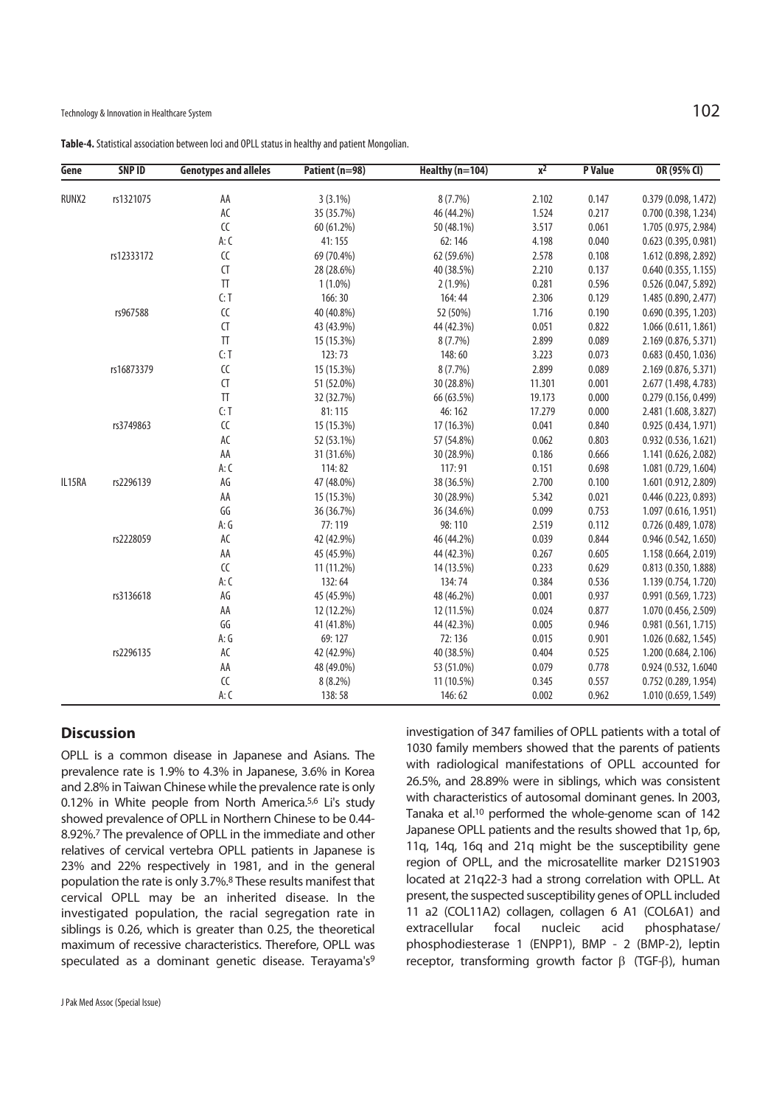| Table-4. Statistical association between loci and OPLL status in healthy and patient Mongolian. |  |  |
|-------------------------------------------------------------------------------------------------|--|--|
|-------------------------------------------------------------------------------------------------|--|--|

| Gene   | SNP ID     | <b>Genotypes and alleles</b>                     | Patient (n=98) | Healthy (n=104) | $\overline{x^2}$ | <b>P</b> Value | OR (95% CI)          |
|--------|------------|--------------------------------------------------|----------------|-----------------|------------------|----------------|----------------------|
| RUNX2  | rs1321075  | AA                                               | $3(3.1\%)$     | $8(7.7\%)$      | 2.102            | 0.147          | 0.379 (0.098, 1.472) |
|        |            | AC                                               | 35 (35.7%)     | 46 (44.2%)      | 1.524            | 0.217          | 0.700 (0.398, 1.234) |
|        |            | CC                                               | 60 (61.2%)     | 50 (48.1%)      | 3.517            | 0.061          | 1.705 (0.975, 2.984) |
|        |            | A: C                                             | 41:155         | 62:146          | 4.198            | 0.040          | 0.623 (0.395, 0.981) |
|        | rs12333172 | ${\sf CC}$                                       | 69 (70.4%)     | 62 (59.6%)      | 2.578            | 0.108          | 1.612 (0.898, 2.892) |
|        |            | $\mathsf{C}\mathsf{T}$                           | 28 (28.6%)     | 40 (38.5%)      | 2.210            | 0.137          | 0.640(0.355, 1.155)  |
|        |            | $\ensuremath{\mathsf{T}}\ensuremath{\mathsf{T}}$ | $1(1.0\%)$     | $2(1.9\%)$      | 0.281            | 0.596          | 0.526 (0.047, 5.892) |
|        |            | C: T                                             | 166:30         | 164:44          | 2.306            | 0.129          | 1.485 (0.890, 2.477) |
|        | rs967588   | ${\sf CC}$                                       | 40 (40.8%)     | 52 (50%)        | 1.716            | 0.190          | 0.690 (0.395, 1.203) |
|        |            | CT                                               |                |                 |                  | 0.822          |                      |
|        |            | $\ensuremath{\mathsf{T}}\ensuremath{\mathsf{T}}$ | 43 (43.9%)     | 44 (42.3%)      | 0.051            | 0.089          | 1.066(0.611, 1.861)  |
|        |            |                                                  | 15 (15.3%)     | 8(7.7%)         | 2.899            |                | 2.169 (0.876, 5.371) |
|        |            | C: T                                             | 123:73         | 148:60          | 3.223            | 0.073          | 0.683(0.450, 1.036)  |
|        | rs16873379 | ${\sf CC}$                                       | 15 (15.3%)     | 8(7.7%)         | 2.899            | 0.089          | 2.169 (0.876, 5.371) |
|        |            | CT                                               | 51 (52.0%)     | 30 (28.8%)      | 11.301           | 0.001          | 2.677 (1.498, 4.783) |
|        |            | $\ensuremath{\mathsf{T}}\ensuremath{\mathsf{T}}$ | 32 (32.7%)     | 66 (63.5%)      | 19.173           | 0.000          | 0.279(0.156, 0.499)  |
|        |            | C: T                                             | 81:115         | 46:162          | 17.279           | 0.000          | 2.481 (1.608, 3.827) |
|        | rs3749863  | ${\sf CC}$                                       | 15 (15.3%)     | 17 (16.3%)      | 0.041            | 0.840          | 0.925(0.434, 1.971)  |
|        |            | AC                                               | 52 (53.1%)     | 57 (54.8%)      | 0.062            | 0.803          | 0.932(0.536, 1.621)  |
|        |            | AA                                               | 31 (31.6%)     | 30 (28.9%)      | 0.186            | 0.666          | 1.141 (0.626, 2.082) |
|        |            | A: C                                             | 114:82         | 117:91          | 0.151            | 0.698          | 1.081 (0.729, 1.604) |
| IL15RA | rs2296139  | AG                                               | 47 (48.0%)     | 38 (36.5%)      | 2.700            | 0.100          | 1.601 (0.912, 2.809) |
|        |            | AA                                               | 15 (15.3%)     | 30 (28.9%)      | 5.342            | 0.021          | 0.446(0.223, 0.893)  |
|        |            | GG                                               | 36 (36.7%)     | 36 (34.6%)      | 0.099            | 0.753          | 1.097 (0.616, 1.951) |
|        |            | A:G                                              | 77:119         | 98:110          | 2.519            | 0.112          | 0.726 (0.489, 1.078) |
|        | rs2228059  | AC                                               | 42 (42.9%)     | 46 (44.2%)      | 0.039            | 0.844          | 0.946(0.542, 1.650)  |
|        |            | AA                                               | 45 (45.9%)     | 44 (42.3%)      | 0.267            | 0.605          | 1.158 (0.664, 2.019) |
|        |            | ${\sf CC}$                                       | 11 (11.2%)     | 14 (13.5%)      | 0.233            | 0.629          | 0.813 (0.350, 1.888) |
|        |            | A: C                                             | 132:64         | 134:74          | 0.384            | 0.536          | 1.139 (0.754, 1.720) |
|        | rs3136618  | AG                                               | 45 (45.9%)     | 48 (46.2%)      | 0.001            | 0.937          | 0.991 (0.569, 1.723) |
|        |            | AA                                               | 12 (12.2%)     | 12 (11.5%)      | 0.024            | 0.877          | 1.070 (0.456, 2.509) |
|        |            | GG                                               | 41 (41.8%)     | 44 (42.3%)      | 0.005            | 0.946          | 0.981(0.561, 1.715)  |
|        |            | A:G                                              | 69:127         | 72:136          | 0.015            | 0.901          | 1.026 (0.682, 1.545) |
|        | rs2296135  | AC                                               | 42 (42.9%)     | 40 (38.5%)      | 0.404            | 0.525          | 1.200 (0.684, 2.106) |
|        |            | AA                                               | 48 (49.0%)     | 53 (51.0%)      | 0.079            | 0.778          | 0.924 (0.532, 1.6040 |
|        |            | $\epsilon$                                       | 8(8.2%)        | 11 (10.5%)      | 0.345            | 0.557          | 0.752(0.289, 1.954)  |
|        |            | A: C                                             | 138:58         | 146:62          | 0.002            | 0.962          | 1.010 (0.659, 1.549) |

# **Discussion**

OPLL is a common disease in Japanese and Asians. The prevalence rate is 1.9% to 4.3% in Japanese, 3.6% in Korea and 2.8% in Taiwan Chinese while the prevalence rate is only 0.12% in White people from North America.5,6 Li's study showed prevalence of OPLL in Northern Chinese to be 0.44- 8.92%.7 The prevalence of OPLL in the immediate and other relatives of cervical vertebra OPLL patients in Japanese is 23% and 22% respectively in 1981, and in the general population the rate is only 3.7%.8 These results manifest that cervical OPLL may be an inherited disease. In the investigated population, the racial segregation rate in siblings is 0.26, which is greater than 0.25, the theoretical maximum of recessive characteristics. Therefore, OPLL was speculated as a dominant genetic disease. Terayama's<sup>9</sup>

investigation of 347 families of OPLL patients with a total of 1030 family members showed that the parents of patients with radiological manifestations of OPLL accounted for 26.5%, and 28.89% were in siblings, which was consistent with characteristics of autosomal dominant genes. In 2003, Tanaka et al.10 performed the whole-genome scan of 142 Japanese OPLL patients and the results showed that 1p, 6p, 11q, 14q, 16q and 21q might be the susceptibility gene region of OPLL, and the microsatellite marker D21S1903 located at 21q22-3 had a strong correlation with OPLL. At present, the suspected susceptibility genes of OPLL included 11 a2 (COL11A2) collagen, collagen 6 A1 (COL6A1) and extracellular focal nucleic acid phosphatase/ phosphodiesterase 1 (ENPP1), BMP - 2 (BMP-2), leptin receptor, transforming growth factor β (TGF-β), human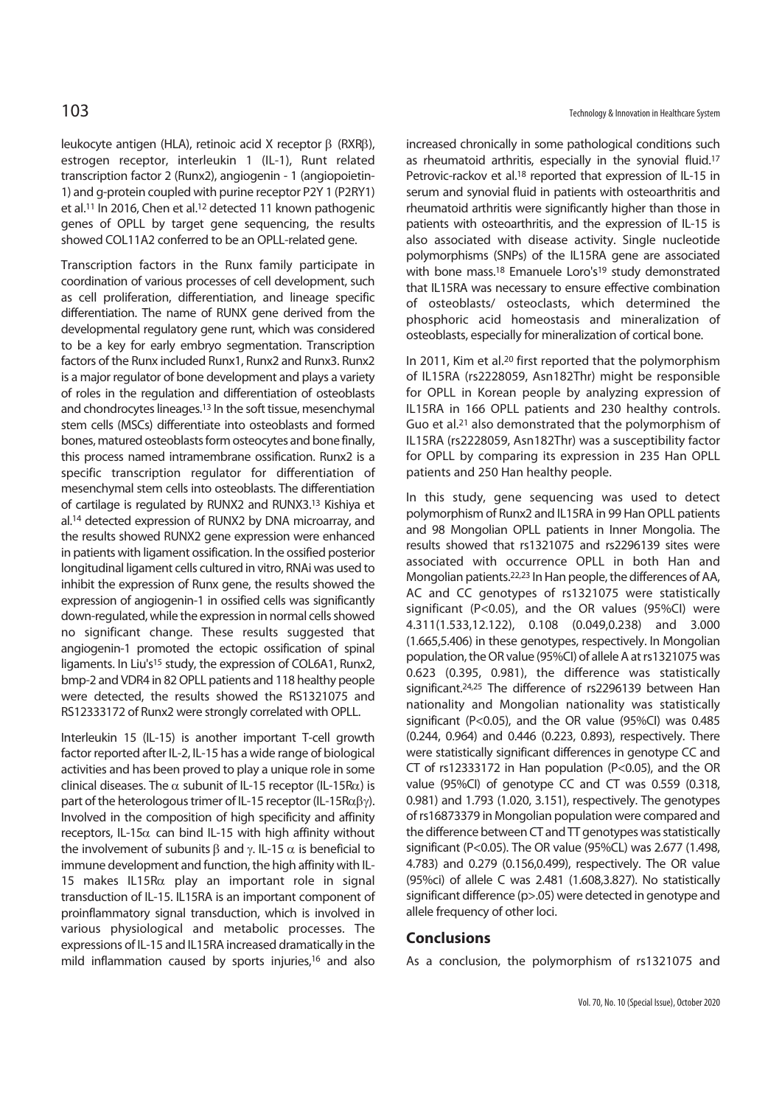leukocyte antigen (HLA), retinoic acid X receptor β (RXRβ), estrogen receptor, interleukin 1 (IL-1), Runt related transcription factor 2 (Runx2), angiogenin - 1 (angiopoietin-1) and g-protein coupled with purine receptor P2Y 1 (P2RY1) et al.<sup>11</sup> In 2016, Chen et al.<sup>12</sup> detected 11 known pathogenic genes of OPLL by target gene sequencing, the results showed COL11A2 conferred to be an OPLL-related gene.

Transcription factors in the Runx family participate in coordination of various processes of cell development, such as cell proliferation, differentiation, and lineage specific differentiation. The name of RUNX gene derived from the developmental regulatory gene runt, which was considered to be a key for early embryo segmentation. Transcription factors of the Runx included Runx1, Runx2 and Runx3. Runx2 is a major regulator of bone development and plays a variety of roles in the regulation and differentiation of osteoblasts and chondrocytes lineages.13 In the soft tissue, mesenchymal stem cells (MSCs) differentiate into osteoblasts and formed bones, matured osteoblasts form osteocytes and bone finally, this process named intramembrane ossification. Runx2 is a specific transcription regulator for differentiation of mesenchymal stem cells into osteoblasts. The differentiation of cartilage is regulated by RUNX2 and RUNX3.13 Kishiya et al.14 detected expression of RUNX2 by DNA microarray, and the results showed RUNX2 gene expression were enhanced in patients with ligament ossification. In the ossified posterior longitudinal ligament cells cultured in vitro, RNAi was used to inhibit the expression of Runx gene, the results showed the expression of angiogenin-1 in ossified cells was significantly down-regulated, while the expression in normal cells showed no significant change. These results suggested that angiogenin-1 promoted the ectopic ossification of spinal ligaments. In Liu's<sup>15</sup> study, the expression of COL6A1, Runx2, bmp-2 and VDR4 in 82 OPLL patients and 118 healthy people were detected, the results showed the RS1321075 and RS12333172 of Runx2 were strongly correlated with OPLL.

Interleukin 15 (IL-15) is another important T-cell growth factor reported after IL-2, IL-15 has a wide range of biological activities and has been proved to play a unique role in some clinical diseases. The  $\alpha$  subunit of IL-15 receptor (IL-15R $\alpha$ ) is part of the heterologous trimer of IL-15 receptor (IL-15Rαβγ). Involved in the composition of high specificity and affinity receptors, IL-15 $\alpha$  can bind IL-15 with high affinity without the involvement of subunits  $β$  and  $γ$ . IL-15  $α$  is beneficial to immune development and function, the high affinity with IL-15 makes IL15Rα play an important role in signal transduction of IL-15. IL15RA is an important component of proinflammatory signal transduction, which is involved in various physiological and metabolic processes. The expressions of IL-15 and IL15RA increased dramatically in the mild inflammation caused by sports injuries,16 and also

increased chronically in some pathological conditions such as rheumatoid arthritis, especially in the synovial fluid.17 Petrovic-rackov et al.<sup>18</sup> reported that expression of IL-15 in serum and synovial fluid in patients with osteoarthritis and rheumatoid arthritis were significantly higher than those in patients with osteoarthritis, and the expression of IL-15 is also associated with disease activity. Single nucleotide polymorphisms (SNPs) of the IL15RA gene are associated with bone mass.<sup>18</sup> Emanuele Loro's<sup>19</sup> study demonstrated that IL15RA was necessary to ensure effective combination of osteoblasts/ osteoclasts, which determined the phosphoric acid homeostasis and mineralization of osteoblasts, especially for mineralization of cortical bone.

In 2011, Kim et al.<sup>20</sup> first reported that the polymorphism of IL15RA (rs2228059, Asn182Thr) might be responsible for OPLL in Korean people by analyzing expression of IL15RA in 166 OPLL patients and 230 healthy controls. Guo et al.21 also demonstrated that the polymorphism of IL15RA (rs2228059, Asn182Thr) was a susceptibility factor for OPLL by comparing its expression in 235 Han OPLL patients and 250 Han healthy people.

In this study, gene sequencing was used to detect polymorphism of Runx2 and IL15RA in 99 Han OPLL patients and 98 Mongolian OPLL patients in Inner Mongolia. The results showed that rs1321075 and rs2296139 sites were associated with occurrence OPLL in both Han and Mongolian patients.22,23 In Han people, the differences of AA, AC and CC genotypes of rs1321075 were statistically significant (P<0.05), and the OR values (95%CI) were 4.311(1.533,12.122), 0.108 (0.049,0.238) and 3.000 (1.665,5.406) in these genotypes, respectively. In Mongolian population, the OR value (95%CI) of allele A at rs1321075 was 0.623 (0.395, 0.981), the difference was statistically significant.24,25 The difference of rs2296139 between Han nationality and Mongolian nationality was statistically significant (P<0.05), and the OR value (95%CI) was 0.485 (0.244, 0.964) and 0.446 (0.223, 0.893), respectively. There were statistically significant differences in genotype CC and CT of rs12333172 in Han population (P<0.05), and the OR value (95%CI) of genotype CC and CT was 0.559 (0.318, 0.981) and 1.793 (1.020, 3.151), respectively. The genotypes of rs16873379 in Mongolian population were compared and the difference between CT and  $\Pi$  genotypes was statistically significant (P<0.05). The OR value (95%CL) was 2.677 (1.498, 4.783) and 0.279 (0.156,0.499), respectively. The OR value (95%ci) of allele C was 2.481 (1.608,3.827). No statistically significant difference (p>.05) were detected in genotype and allele frequency of other loci.

### **Conclusions**

As a conclusion, the polymorphism of rs1321075 and